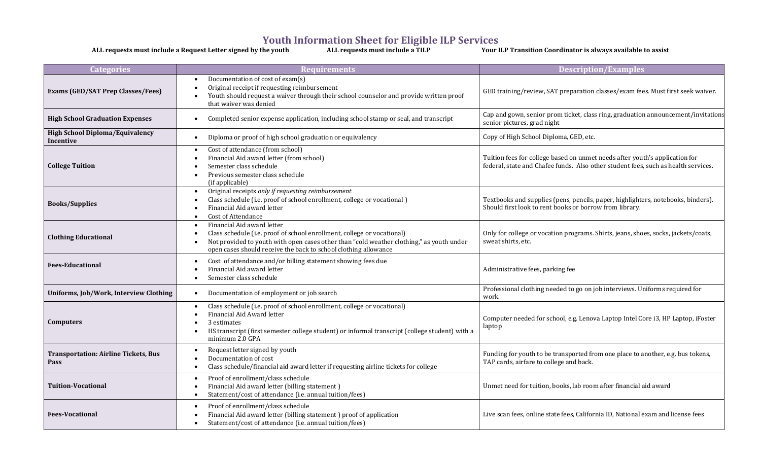## **Youth Information Sheet for Eligible ILP Services**

**ALL requests must include a Request Letter signed by the youth ALL requests must include a TILP Your ILP Transition Coordinator is always available to assist**

| <b>Categories</b>                                   | <b>Requirements</b>                                                                                                                                                                                                                                                  | <b>Description/Examples</b>                                                                                                                                       |
|-----------------------------------------------------|----------------------------------------------------------------------------------------------------------------------------------------------------------------------------------------------------------------------------------------------------------------------|-------------------------------------------------------------------------------------------------------------------------------------------------------------------|
| <b>Exams (GED/SAT Prep Classes/Fees)</b>            | Documentation of cost of exam(s)<br>Original receipt if requesting reimbursement<br>Youth should request a waiver through their school counselor and provide written proof<br>that waiver was denied                                                                 | GED training/review, SAT preparation classes/exam fees. Must first seek waiver.                                                                                   |
| <b>High School Graduation Expenses</b>              | Completed senior expense application, including school stamp or seal, and transcript                                                                                                                                                                                 | Cap and gown, senior prom ticket, class ring, graduation announcement/invitations<br>senior pictures, grad night                                                  |
| <b>High School Diploma/Equivalency</b><br>Incentive | Diploma or proof of high school graduation or equivalency<br>$\bullet$                                                                                                                                                                                               | Copy of High School Diploma, GED, etc.                                                                                                                            |
| <b>College Tuition</b>                              | Cost of attendance (from school)<br>Financial Aid award letter (from school)<br>Semester class schedule<br>Previous semester class schedule<br>(if applicable)                                                                                                       | Tuition fees for college based on unmet needs after youth's application for<br>federal, state and Chafee funds. Also other student fees, such as health services. |
| <b>Books/Supplies</b>                               | Original receipts only if requesting reimbursement<br>Class schedule (i.e. proof of school enrollment, college or vocational)<br>Financial Aid award letter<br><b>Cost of Attendance</b>                                                                             | Textbooks and supplies (pens, pencils, paper, highlighters, notebooks, binders).<br>Should first look to rent books or borrow from library.                       |
| <b>Clothing Educational</b>                         | Financial Aid award letter<br>Class schedule (i.e. proof of school enrollment, college or vocational)<br>Not provided to youth with open cases other than "cold weather clothing," as youth under<br>open cases should receive the back to school clothing allowance | Only for college or vocation programs. Shirts, jeans, shoes, socks, jackets/coats,<br>sweat shirts, etc.                                                          |
| <b>Fees-Educational</b>                             | Cost of attendance and/or billing statement showing fees due<br>$\bullet$<br>Financial Aid award letter<br>Semester class schedule                                                                                                                                   | Administrative fees, parking fee                                                                                                                                  |
| Uniforms, Job/Work, Interview Clothing              | Documentation of employment or job search<br>$\bullet$                                                                                                                                                                                                               | Professional clothing needed to go on job interviews. Uniforms required for<br>work.                                                                              |
| <b>Computers</b>                                    | Class schedule (i.e. proof of school enrollment, college or vocational)<br>Financial Aid Award letter<br>3 estimates<br>HS transcript (first semester college student) or informal transcript (college student) with a<br>minimum 2.0 GPA                            | Computer needed for school, e.g. Lenova Laptop Intel Core i3, HP Laptop, iFoster<br>laptop                                                                        |
| <b>Transportation: Airline Tickets, Bus</b><br>Pass | Request letter signed by youth<br>Documentation of cost<br>Class schedule/financial aid award letter if requesting airline tickets for college                                                                                                                       | Funding for youth to be transported from one place to another, e.g. bus tokens,<br>TAP cards, airfare to college and back.                                        |
| <b>Tuition-Vocational</b>                           | Proof of enrollment/class schedule<br>$\bullet$<br>Financial Aid award letter (billing statement)<br>Statement/cost of attendance (i.e. annual tuition/fees)                                                                                                         | Unmet need for tuition, books, lab room after financial aid award                                                                                                 |
| <b>Fees-Vocational</b>                              | Proof of enrollment/class schedule<br>Financial Aid award letter (billing statement) proof of application<br>Statement/cost of attendance (i.e. annual tuition/fees)                                                                                                 | Live scan fees, online state fees, California ID, National exam and license fees                                                                                  |